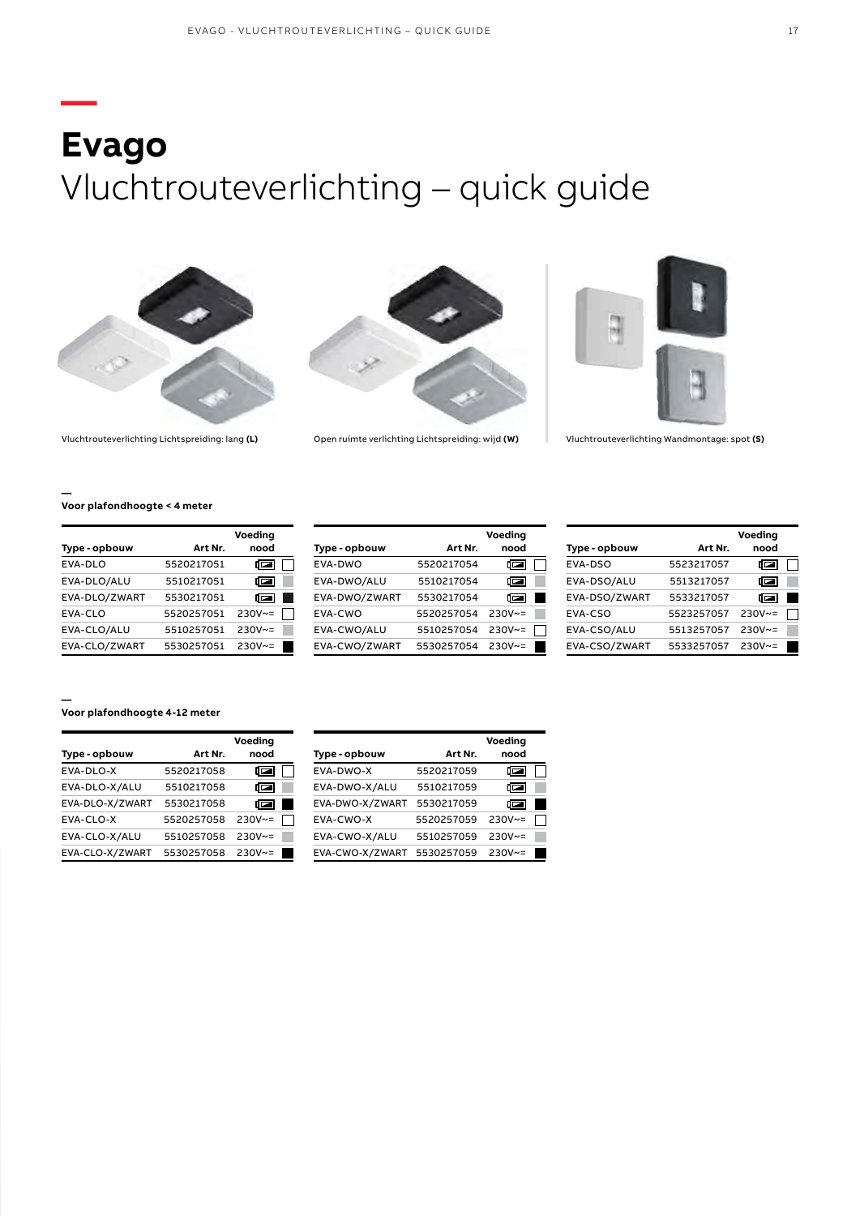## **— Evago** Vluchtrouteverlichting – quick guide





Vluchtrouteverlichting Lichtspreiding: lang **(L)** Open ruimte verlichting Lichtspreiding: wijd **(W)** Vluchtrouteverlichting Wandmontage: spot **(S)**



**Voor plafondhoogte < 4 meter**

**—**

|               |            | Voeding  |
|---------------|------------|----------|
| Type - opbouw | Art Nr.    | nood     |
| EVA-DLO       | 5520217051 | c        |
| EVA-DLO/ALU   | 5510217051 | ผ        |
| EVA-DLO/ZWART | 5530217051 | c        |
| EVA-CLO       | 5520257051 | $230V~=$ |
| EVA-CLO/ALU   | 5510257051 | $230V~=$ |
| EVA-CLO/ZWART | 5530257051 | $230V~=$ |

|               |            | Voeding  |
|---------------|------------|----------|
| Type - opbouw | Art Nr.    | nood     |
| EVA-DWO       | 5520217054 | 同        |
| EVA-DWO/ALU   | 5510217054 | 同        |
| EVA-DWO/ZWART | 5530217054 | ⊡        |
| EVA-CWO       | 5520257054 | $230V~=$ |
| EVA-CWO/ALU   | 5510257054 | $230V~=$ |
| EVA-CWO/ZWART | 5530257054 | $230V~=$ |

|               |            | Voeding          |  |
|---------------|------------|------------------|--|
| Type - opbouw | Art Nr.    | nood             |  |
| EVA-DSO       | 5523217057 | c                |  |
| EVA-DSO/ALU   | 5513217057 | ⊂                |  |
| EVA-DSO/ZWART | 5533217057 | c                |  |
| EVA-CSO       | 5523257057 | $230V~=$         |  |
| EVA-CSO/ALU   | 5513257057 | $230V \approx 5$ |  |
| EVA-CSO/ZWART | 5533257057 | $230V~=$         |  |

## **— Voor plafondhoogte 4-12 meter**

|                 |            | Voeding  |  |
|-----------------|------------|----------|--|
| Type - opbouw   | Art Nr.    | nood     |  |
| EVA-DLO-X       | 5520217058 | ◘        |  |
| EVA-DLO-X/ALU   | 5510217058 | ◨▱       |  |
| EVA-DLO-X/ZWART | 5530217058 | ▯▱▮      |  |
| EVA-CLO-X       | 5520257058 | $230V~=$ |  |
| EVA-CLO-X/ALU   | 5510257058 | $230V~=$ |  |
| EVA-CLO-X/ZWART | 5530257058 | $230V~=$ |  |

|                 |            | Voeding          |  |
|-----------------|------------|------------------|--|
| Type - opbouw   | Art Nr.    | nood             |  |
| EVA-DWO-X       | 5520217059 | ī                |  |
| EVA-DWO-X/ALU   | 5510217059 | @                |  |
| EVA-DWO-X/ZWART | 5530217059 | 同                |  |
| EVA-CWO-X       | 5520257059 | $230V~=$         |  |
| EVA-CWO-X/ALU   | 5510257059 | $230V~=$         |  |
| EVA-CWO-X/ZWART | 5530257059 | $230V \approx 5$ |  |